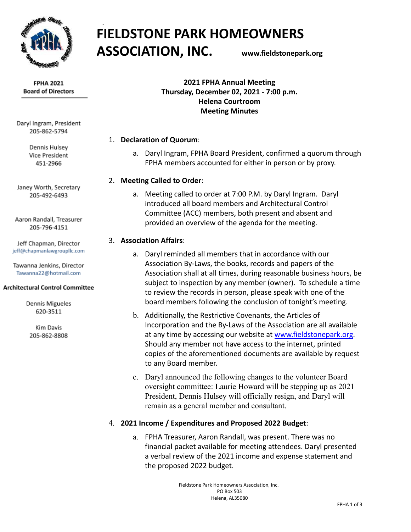

**FIELDSTONE PARK HOMEOWNERS ASSOCIATION, INC. www.fieldstonepark.org**

**FPHA 2021 Board of Directors** 

Daryl Ingram, President 205-862-5794

> Dennis Hulsey Vice President 451-2966

Janey Worth, Secretary 205-492-6493

Aaron Randall, Treasurer 205-796-4151

Jeff Chapman, Director jeff@chapmanlawgroupllc.com

Tawanna Jenkins, Director Tawanna22@hotmail.com

#### **Architectural Control Committee**

Dennis Migueles 620-3511

**Kim Davis** 205-862-8808

**2021 FPHA Annual Meeting Thursday, December 02, 2021 - 7:00 p.m. Helena Courtroom Meeting Minutes**

## 1. **Declaration of Quorum**:

a. Daryl Ingram, FPHA Board President, confirmed a quorum through FPHA members accounted for either in person or by proxy.

## 2. **Meeting Called to Order**:

a. Meeting called to order at 7:00 P.M. by Daryl Ingram. Daryl introduced all board members and Architectural Control Committee (ACC) members, both present and absent and provided an overview of the agenda for the meeting.

## 3. **Association Affairs**:

- a. Daryl reminded all members that in accordance with our Association By-Laws, the books, records and papers of the Association shall at all times, during reasonable business hours, be subject to inspection by any member (owner). To schedule a time to review the records in person, please speak with one of the board members following the conclusion of tonight's meeting.
- b. Additionally, the Restrictive Covenants, the Articles of Incorporation and the By-Laws of the Association are all available at any time by accessing our website at [www.fieldstonepark.org](http://www.fieldstonepark.org/). Should any member not have access to the internet, printed copies of the aforementioned documents are available by request to any Board member.
- c. Daryl announced the following changes to the volunteer Board oversight committee: Laurie Howard will be stepping up as 2021 President, Dennis Hulsey will officially resign, and Daryl will remain as a general member and consultant.

## 4. **2021 Income / Expenditures and Proposed 2022 Budget**:

a. FPHA Treasurer, Aaron Randall, was present. There was no financial packet available for meeting attendees. Daryl presented a verbal review of the 2021 income and expense statement and the proposed 2022 budget.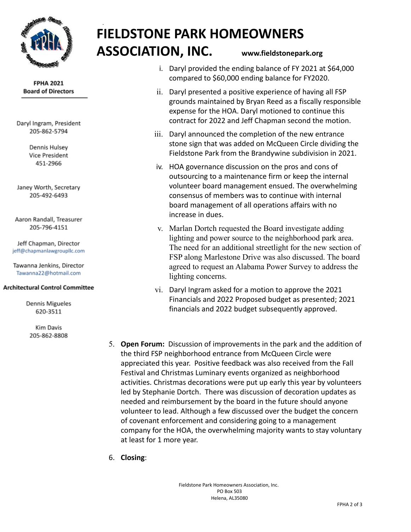

#### **FPHA 2021 Board of Directors**

Daryl Ingram, President 205-862-5794

> Dennis Hulsev Vice President 451-2966

Janey Worth, Secretary 205-492-6493

Aaron Randall, Treasurer 205-796-4151

Jeff Chapman, Director jeff@chapmanlawgroupllc.com

Tawanna Jenkins, Director Tawanna22@hotmail.com

## **Architectural Control Committee**

Dennis Migueles 620-3511

**Kim Davis** 205-862-8808

# **FIELDSTONE PARK HOMEOWNERS ASSOCIATION, INC. www.fieldstonepark.org**

- i. Daryl provided the ending balance of FY 2021 at \$64,000 compared to \$60,000 ending balance for FY2020.
- ii. Daryl presented a positive experience of having all FSP grounds maintained by Bryan Reed as a fiscally responsible expense for the HOA. Daryl motioned to continue this contract for 2022 and Jeff Chapman second the motion.
- iii. Daryl announced the completion of the new entrance stone sign that was added on McQueen Circle dividing the Fieldstone Park from the Brandywine subdivision in 2021.
- iv. HOA governance discussion on the pros and cons of outsourcing to a maintenance firm or keep the internal volunteer board management ensued. The overwhelming consensus of members was to continue with internal board management of all operations affairs with no increase in dues.
- v. Marlan Dortch requested the Board investigate adding lighting and power source to the neighborhood park area. The need for an additional streetlight for the new section of FSP along Marlestone Drive was also discussed. The board agreed to request an Alabama Power Survey to address the lighting concerns.
- vi. Daryl Ingram asked for a motion to approve the 2021 Financials and 2022 Proposed budget as presented; 2021 financials and 2022 budget subsequently approved.
- 5. **Open Forum:** Discussion of improvements in the park and the addition of the third FSP neighborhood entrance from McQueen Circle were appreciated this year. Positive feedback was also received from the Fall Festival and Christmas Luminary events organized as neighborhood activities. Christmas decorations were put up early this year by volunteers led by Stephanie Dortch. There was discussion of decoration updates as needed and reimbursement by the board in the future should anyone volunteer to lead. Although a few discussed over the budget the concern of covenant enforcement and considering going to a management company for the HOA, the overwhelming majority wants to stay voluntary at least for 1 more year.
- 6. **Closing**: